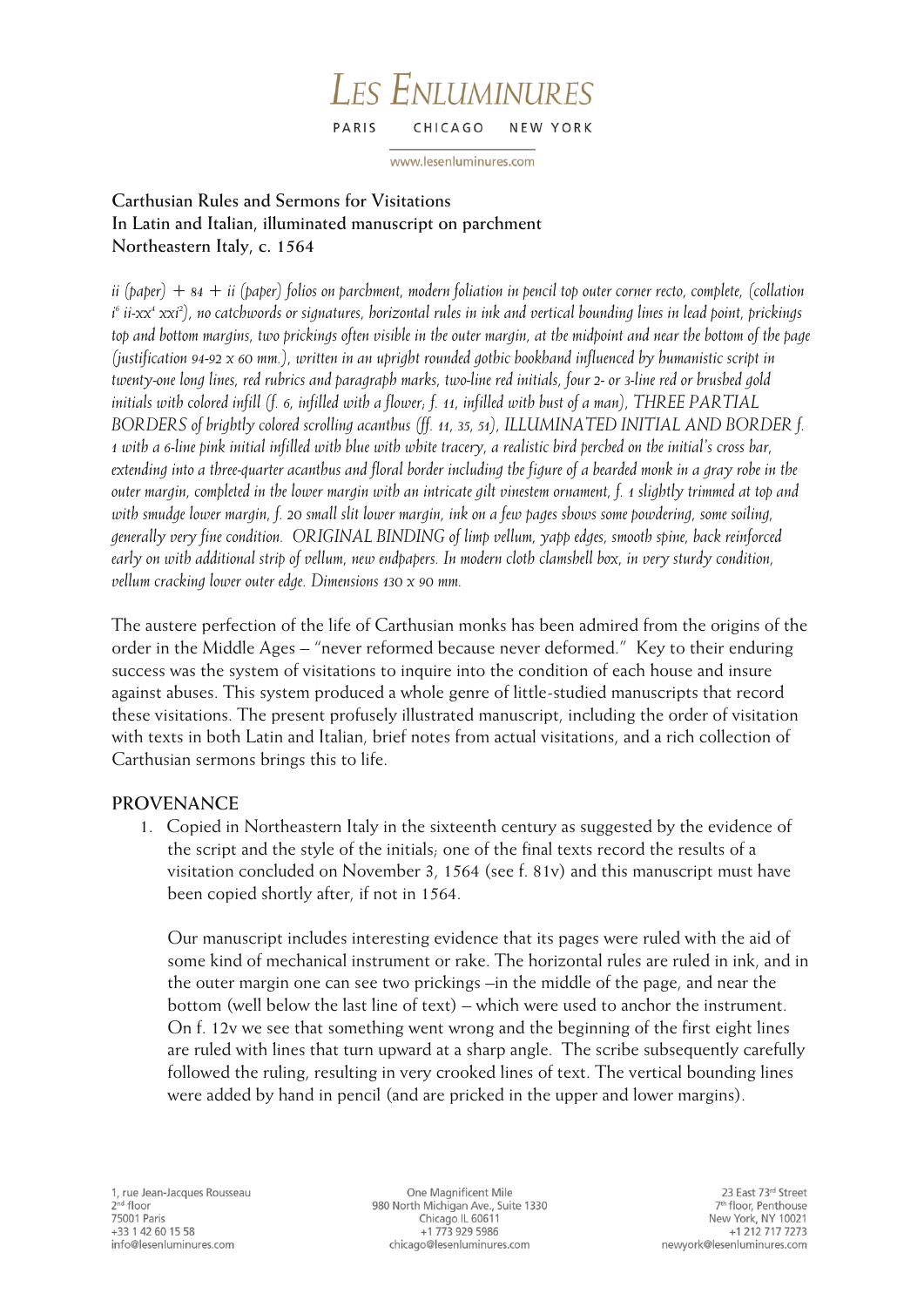#### **LES ENLUMINURES** PARIS CHICAGO NEW YORK

www.lesenluminures.com

## **Carthusian Rules and Sermons for Visitations In Latin and Italian, illuminated manuscript on parchment Northeastern Italy, c. 1564**

*ii (paper) + 84 + ii (paper) folios on parchment, modern foliation in pencil top outer corner recto, complete, (collation i 6 ii-xx<sup>4</sup> xxi<sup>2</sup> ), no catchwords or signatures, horizontal rules in ink and vertical bounding lines in lead point, prickings top and bottom margins, two prickings often visible in the outer margin, at the midpoint and near the bottom of the page (justification 94-92 x 60 mm.), written in an upright rounded gothic bookhand influenced by humanistic script in twenty-one long lines, red rubrics and paragraph marks, two-line red initials, four 2- or 3-line red or brushed gold initials with colored infill (f. 6, infilled with a flower; f. 11, infilled with bust of a man), THREE PARTIAL BORDERS of brightly colored scrolling acanthus (ff. 11, 35, 51), ILLUMINATED INITIAL AND BORDER f. 1 with a 6-line pink initial infilled with blue with white tracery, a realistic bird perched on the initial's cross bar, extending into a three-quarter acanthus and floral border including the figure of a bearded monk in a gray robe in the outer margin, completed in the lower margin with an intricate gilt vinestem ornament, f. 1 slightly trimmed at top and*  with smudge lower margin, f. 20 small slit lower margin, ink on a few pages shows some powdering, some soiling, *generally very fine condition. ORIGINAL BINDING of limp vellum, yapp edges, smooth spine, back reinforced early on with additional strip of vellum, new endpapers. In modern cloth clamshell box, in very sturdy condition, vellum cracking lower outer edge. Dimensions 130 x 90 mm.*

The austere perfection of the life of Carthusian monks has been admired from the origins of the order in the Middle Ages – "never reformed because never deformed." Key to their enduring success was the system of visitations to inquire into the condition of each house and insure against abuses. This system produced a whole genre of little-studied manuscripts that record these visitations. The present profusely illustrated manuscript, including the order of visitation with texts in both Latin and Italian, brief notes from actual visitations, and a rich collection of Carthusian sermons brings this to life.

# **PROVENANCE**

1. Copied in Northeastern Italy in the sixteenth century as suggested by the evidence of the script and the style of the initials; one of the final texts record the results of a visitation concluded on November 3, 1564 (see f. 81v) and this manuscript must have been copied shortly after, if not in 1564.

Our manuscript includes interesting evidence that its pages were ruled with the aid of some kind of mechanical instrument or rake. The horizontal rules are ruled in ink, and in the outer margin one can see two prickings –in the middle of the page, and near the bottom (well below the last line of text) – which were used to anchor the instrument. On f. 12v we see that something went wrong and the beginning of the first eight lines are ruled with lines that turn upward at a sharp angle. The scribe subsequently carefully followed the ruling, resulting in very crooked lines of text. The vertical bounding lines were added by hand in pencil (and are pricked in the upper and lower margins).

One Magnificent Mile 980 North Michigan Ave., Suite 1330 Chicago IL 60611 +1 773 929 5986 chicago@lesenluminures.com

23 East 73rd Street 7<sup>th</sup> floor, Penthouse New York, NY 10021 +1 212 717 7273 newyork@lesenluminures.com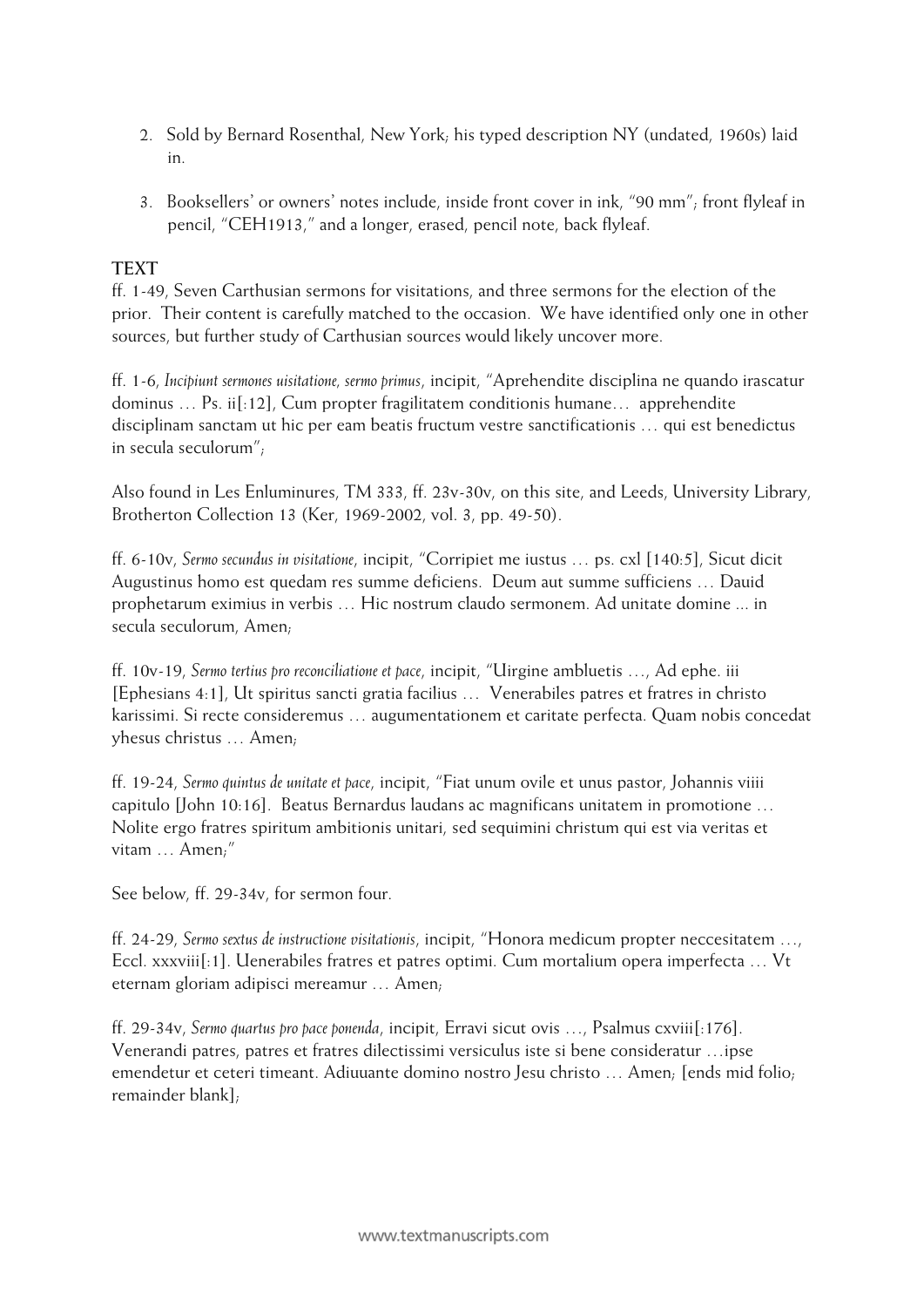- 2. Sold by Bernard Rosenthal, New York; his typed description NY (undated, 1960s) laid in.
- 3. Booksellers' or owners' notes include, inside front cover in ink, "90 mm"; front flyleaf in pencil, "CEH1913," and a longer, erased, pencil note, back flyleaf.

#### **TEXT**

ff. 1-49, Seven Carthusian sermons for visitations, and three sermons for the election of the prior. Their content is carefully matched to the occasion. We have identified only one in other sources, but further study of Carthusian sources would likely uncover more.

ff. 1-6, *Incipiunt sermones uisitatione, sermo primus*, incipit, "Aprehendite disciplina ne quando irascatur dominus … Ps. ii[:12], Cum propter fragilitatem conditionis humane… apprehendite disciplinam sanctam ut hic per eam beatis fructum vestre sanctificationis … qui est benedictus in secula seculorum";

Also found in Les Enluminures, TM 333, ff. 23v-30v, on this site, and Leeds, University Library, Brotherton Collection 13 (Ker, 1969-2002, vol. 3, pp. 49-50).

ff. 6-10v, *Sermo secundus in visitatione*, incipit, "Corripiet me iustus … ps. cxl [140:5], Sicut dicit Augustinus homo est quedam res summe deficiens. Deum aut summe sufficiens … Dauid prophetarum eximius in verbis … Hic nostrum claudo sermonem. Ad unitate domine ... in secula seculorum, Amen;

ff. 10v-19, *Sermo tertius pro reconciliatione et pace*, incipit, "Uirgine ambluetis …, Ad ephe. iii [Ephesians 4:1], Ut spiritus sancti gratia facilius … Venerabiles patres et fratres in christo karissimi. Si recte consideremus … augumentationem et caritate perfecta. Quam nobis concedat yhesus christus … Amen;

ff. 19-24, *Sermo quintus de unitate et pace*, incipit, "Fiat unum ovile et unus pastor, Johannis viiii capitulo [John 10:16]. Beatus Bernardus laudans ac magnificans unitatem in promotione … Nolite ergo fratres spiritum ambitionis unitari, sed sequimini christum qui est via veritas et vitam … Amen;"

See below, ff. 29-34v, for sermon four.

ff. 24-29, *Sermo sextus de instructione visitationis*, incipit, "Honora medicum propter neccesitatem …, Eccl. xxxviii[:1]. Uenerabiles fratres et patres optimi. Cum mortalium opera imperfecta … Vt eternam gloriam adipisci mereamur … Amen;

ff. 29-34v, *Sermo quartus pro pace ponenda*, incipit, Erravi sicut ovis …, Psalmus cxviii[:176]. Venerandi patres, patres et fratres dilectissimi versiculus iste si bene consideratur …ipse emendetur et ceteri timeant. Adiuuante domino nostro Jesu christo … Amen; [ends mid folio; remainder blank];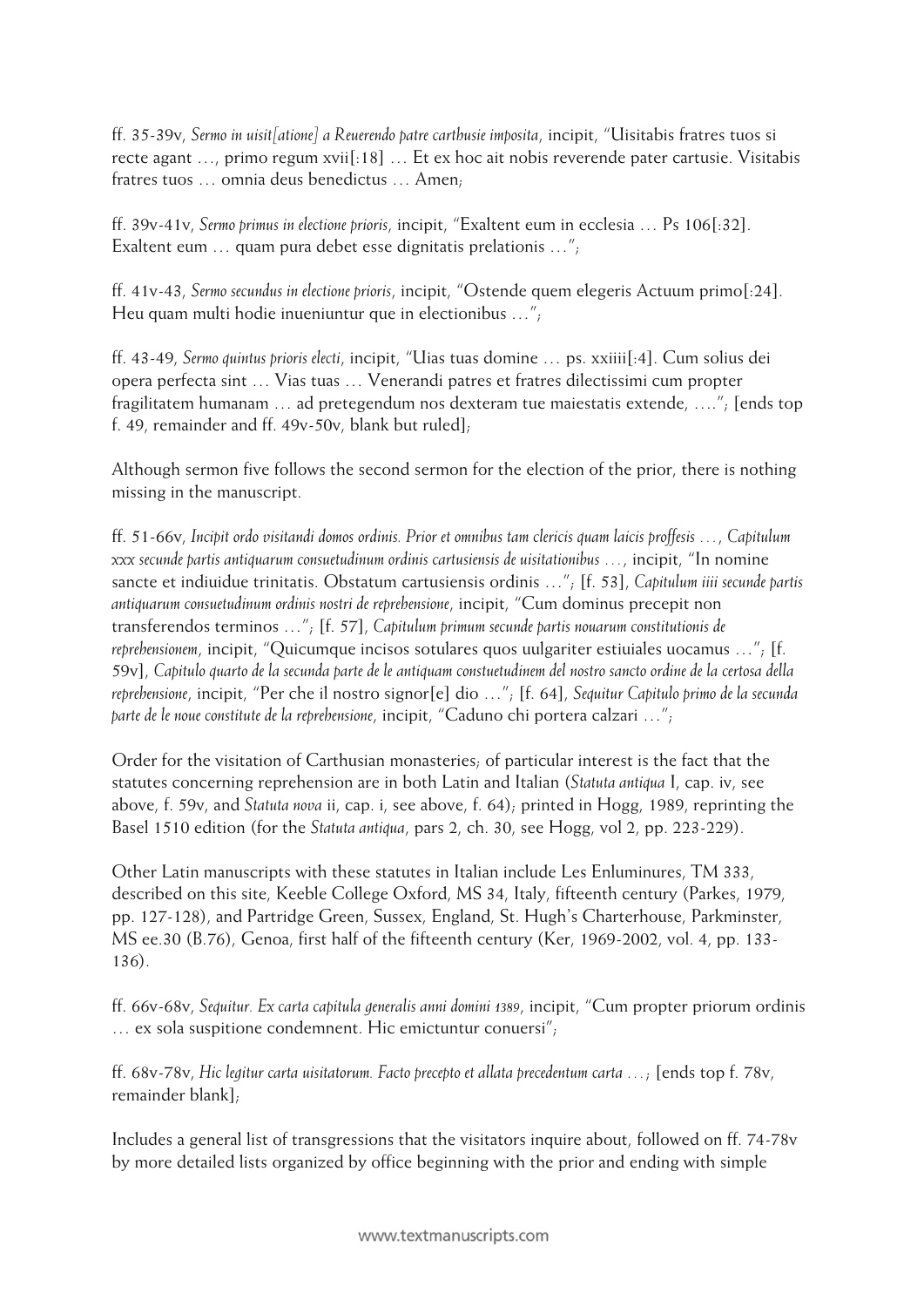ff. 35-39v, *Sermo in uisit[atione] a Reuerendo patre carthusie imposita*, incipit, "Uisitabis fratres tuos si recte agant …, primo regum xvii[:18] … Et ex hoc ait nobis reverende pater cartusie. Visitabis fratres tuos … omnia deus benedictus … Amen;

ff. 39v-41v, *Sermo primus in electione prioris*, incipit, "Exaltent eum in ecclesia … Ps 106[:32]. Exaltent eum … quam pura debet esse dignitatis prelationis …";

ff. 41v-43, *Sermo secundus in electione prioris*, incipit, "Ostende quem elegeris Actuum primo[:24]. Heu quam multi hodie inueniuntur que in electionibus …";

ff. 43-49, *Sermo quintus prioris electi*, incipit, "Uias tuas domine … ps. xxiiii[:4]. Cum solius dei opera perfecta sint … Vias tuas … Venerandi patres et fratres dilectissimi cum propter fragilitatem humanam … ad pretegendum nos dexteram tue maiestatis extende, …."; [ends top f. 49, remainder and ff. 49v-50v, blank but ruled];

Although sermon five follows the second sermon for the election of the prior, there is nothing missing in the manuscript.

ff. 51-66v, *Incipit ordo visitandi domos ordinis. Prior et omnibus tam clericis quam laicis proffesis …*, *Capitulum xxx secunde partis antiquarum consuetudinum ordinis cartusiensis de uisitationibus …*, incipit, "In nomine sancte et indiuidue trinitatis. Obstatum cartusiensis ordinis …"; [f. 53], *Capitulum iiii secunde partis antiquarum consuetudinum ordinis nostri de reprehensione*, incipit, "Cum dominus precepit non transferendos terminos …"; [f. 57], *Capitulum primum secunde partis nouarum constitutionis de reprehensionem*, incipit, "Quicumque incisos sotulares quos uulgariter estiuiales uocamus …"; [f. 59v], *Capitulo quarto de la secunda parte de le antiquam constuetudinem del nostro sancto ordine de la certosa della reprehensione*, incipit, "Per che il nostro signor[e] dio …"; [f. 64], *Sequitur Capitulo primo de la secunda parte de le noue constitute de la reprehensione*, incipit, "Caduno chi portera calzari …";

Order for the visitation of Carthusian monasteries; of particular interest is the fact that the statutes concerning reprehension are in both Latin and Italian (*Statuta antiqua* I, cap. iv, see above, f. 59v, and *Statuta nova* ii, cap. i, see above, f. 64); printed in Hogg, 1989, reprinting the Basel 1510 edition (for the *Statuta antiqua*, pars 2, ch. 30, see Hogg, vol 2, pp. 223-229).

Other Latin manuscripts with these statutes in Italian include Les Enluminures, TM 333, described on this site, Keeble College Oxford, MS 34, Italy, fifteenth century (Parkes, 1979, pp. 127-128), and Partridge Green, Sussex, England, St. Hugh's Charterhouse, Parkminster, MS ee.30 (B.76), Genoa, first half of the fifteenth century (Ker, 1969-2002, vol. 4, pp. 133- 136).

ff. 66v-68v, *Sequitur. Ex carta capitula generalis anni domini 1389*, incipit, "Cum propter priorum ordinis … ex sola suspitione condemnent. Hic emictuntur conuersi";

ff. 68v-78v, *Hic legitur carta uisitatorum. Facto precepto et allata precedentum carta …*; [ends top f. 78v, remainder blank];

Includes a general list of transgressions that the visitators inquire about, followed on ff. 74-78v by more detailed lists organized by office beginning with the prior and ending with simple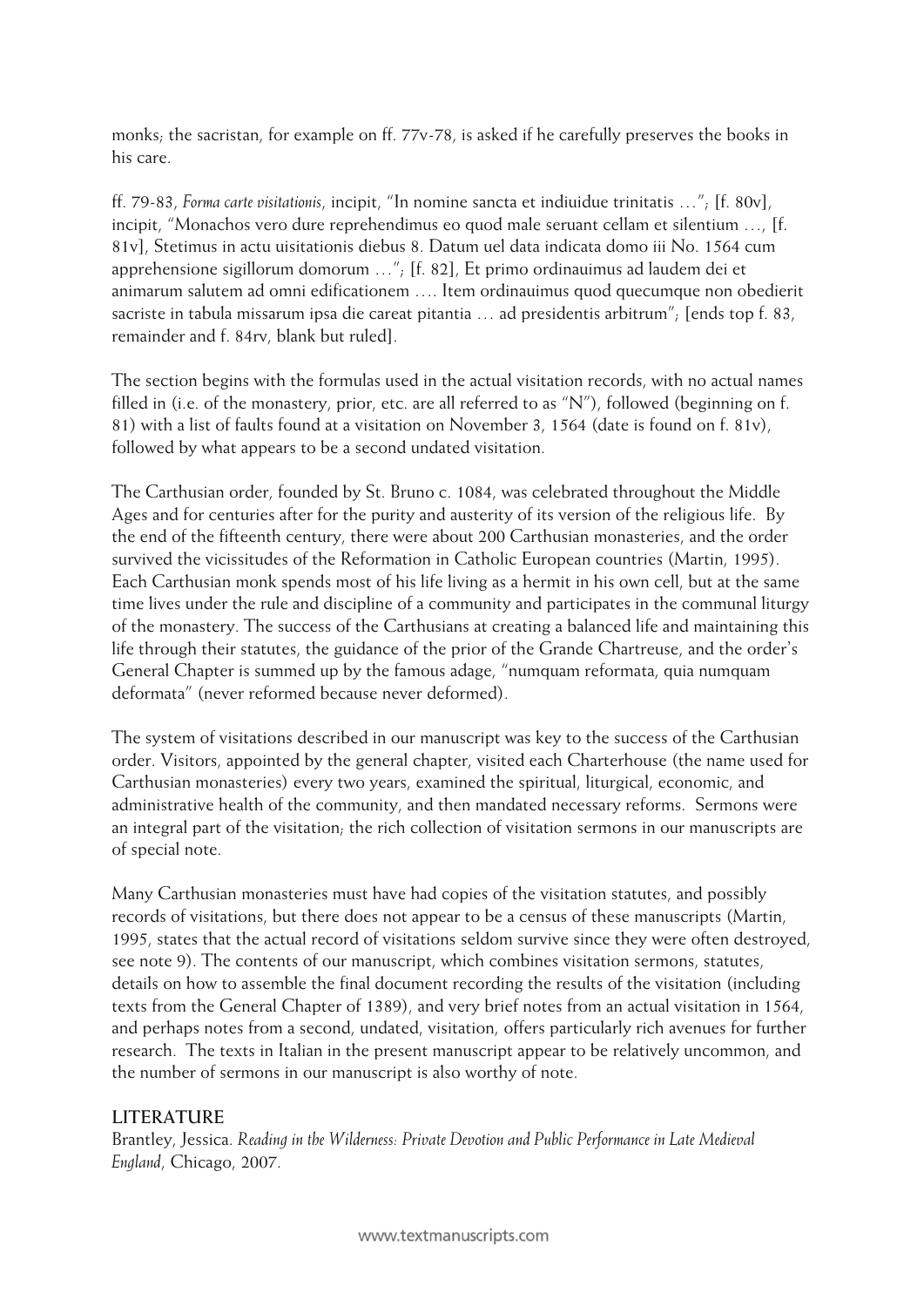monks; the sacristan, for example on ff. 77v-78, is asked if he carefully preserves the books in his care.

ff. 79-83, *Forma carte visitationis*, incipit, "In nomine sancta et indiuidue trinitatis …"; [f. 80v], incipit, "Monachos vero dure reprehendimus eo quod male seruant cellam et silentium …, [f. 81v], Stetimus in actu uisitationis diebus 8. Datum uel data indicata domo iii No. 1564 cum apprehensione sigillorum domorum …"; [f. 82], Et primo ordinauimus ad laudem dei et animarum salutem ad omni edificationem …. Item ordinauimus quod quecumque non obedierit sacriste in tabula missarum ipsa die careat pitantia … ad presidentis arbitrum"; [ends top f. 83, remainder and f. 84rv, blank but ruled].

The section begins with the formulas used in the actual visitation records, with no actual names filled in (i.e. of the monastery, prior, etc. are all referred to as "N"), followed (beginning on f. 81) with a list of faults found at a visitation on November 3, 1564 (date is found on f. 81v), followed by what appears to be a second undated visitation.

The Carthusian order, founded by St. Bruno c. 1084, was celebrated throughout the Middle Ages and for centuries after for the purity and austerity of its version of the religious life. By the end of the fifteenth century, there were about 200 Carthusian monasteries, and the order survived the vicissitudes of the Reformation in Catholic European countries (Martin, 1995). Each Carthusian monk spends most of his life living as a hermit in his own cell, but at the same time lives under the rule and discipline of a community and participates in the communal liturgy of the monastery. The success of the Carthusians at creating a balanced life and maintaining this life through their statutes, the guidance of the prior of the Grande Chartreuse, and the order's General Chapter is summed up by the famous adage, "numquam reformata, quia numquam deformata" (never reformed because never deformed).

The system of visitations described in our manuscript was key to the success of the Carthusian order. Visitors, appointed by the general chapter, visited each Charterhouse (the name used for Carthusian monasteries) every two years, examined the spiritual, liturgical, economic, and administrative health of the community, and then mandated necessary reforms. Sermons were an integral part of the visitation; the rich collection of visitation sermons in our manuscripts are of special note.

Many Carthusian monasteries must have had copies of the visitation statutes, and possibly records of visitations, but there does not appear to be a census of these manuscripts (Martin, 1995, states that the actual record of visitations seldom survive since they were often destroyed, see note 9). The contents of our manuscript, which combines visitation sermons, statutes, details on how to assemble the final document recording the results of the visitation (including texts from the General Chapter of 1389), and very brief notes from an actual visitation in 1564, and perhaps notes from a second, undated, visitation, offers particularly rich avenues for further research. The texts in Italian in the present manuscript appear to be relatively uncommon, and the number of sermons in our manuscript is also worthy of note.

#### **LITERATURE**

Brantley, Jessica. *Reading in the Wilderness: Private Devotion and Public Performance in Late Medieval England*, Chicago, 2007.